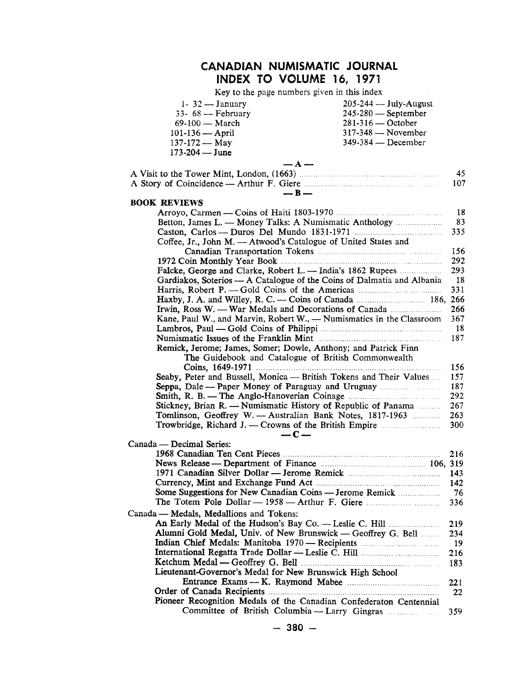### **CANADIAN NUMISMATIC JOURNAL INDEX TO VOLUME** 16, **1971**

Key to the page numbers given in this index

 $\mathcal{L}_{\text{max}}$  and  $\mathcal{L}_{\text{max}}$ 

| $1 - 32 - J$ anuary                                                    | $205 - 244$ — July-August                             |
|------------------------------------------------------------------------|-------------------------------------------------------|
| $33 - 68$ - February                                                   | 245-280 - September                                   |
| 69-100 - March                                                         | $281-316$ - October                                   |
| $101 - 136 -$ April                                                    | 317-348 - November                                    |
| $137 - 172 - May$                                                      | 349-384 - December                                    |
| 173-204 - June                                                         |                                                       |
| $- A -$                                                                |                                                       |
|                                                                        | 45                                                    |
| $-B-$                                                                  | 107                                                   |
| <b>BOOK REVIEWS</b>                                                    |                                                       |
|                                                                        | 18                                                    |
| Betton, James L. - Money Talks: A Numismatic Anthology                 | 83                                                    |
|                                                                        | 335                                                   |
| Coffee, Jr., John M. - Atwood's Catalogue of United States and         |                                                       |
|                                                                        | 156                                                   |
|                                                                        | 292                                                   |
|                                                                        | 293                                                   |
| Gardiakos, Soterios — A Catalogue of the Coins of Dalmatia and Albania | <b>18</b>                                             |
|                                                                        | 331                                                   |
|                                                                        |                                                       |
|                                                                        |                                                       |
| Irwin, Ross W. — War Medals and Decorations of Canada                  | 266                                                   |
| Kane, Paul W., and Marvin, Robert W., — Numismatics in the Classroom   | 367                                                   |
|                                                                        | -18                                                   |
|                                                                        | 187                                                   |
| Remick, Jerome; James, Somer; Dowle, Anthony; and Patrick Finn         |                                                       |
| The Guidebook and Catalogue of British Commonwealth                    |                                                       |
|                                                                        | 156                                                   |
| Seaby, Peter and Bussell, Monica -- British Tokens and Their Values    | 157                                                   |
| Seppa, Dale -- Paper Money of Paraguay and Uruguay                     | 187                                                   |
|                                                                        | 292                                                   |
| Stickney, Brian R. — Numismatic History of Republic of Panama          | 267                                                   |
| Tomlinson, Geoffrey W. - Australian Bank Notes, 1817-1963              | 263                                                   |
| Trowbridge, Richard J. — Crowns of the British Empire                  | 300                                                   |
| $-C-$                                                                  |                                                       |
| Canada — Decimal Series:                                               |                                                       |
|                                                                        | 216                                                   |
|                                                                        |                                                       |
|                                                                        |                                                       |
| Currency, Mint and Exchange Fund Act.                                  |                                                       |
|                                                                        | 76                                                    |
|                                                                        | 336                                                   |
| Canada — Medals, Medallions and Tokens:                                |                                                       |
|                                                                        | 219                                                   |
| Alumni Gold Medal, Univ. of New Brunswick — Geoffrey G. Bell           | 234                                                   |
|                                                                        | 19                                                    |
|                                                                        |                                                       |
|                                                                        | 216                                                   |
|                                                                        | 183                                                   |
| Lieutenant-Governor's Medal for New Brunswick High School              |                                                       |
|                                                                        | 221                                                   |
|                                                                        | 22                                                    |
| Pioneer Recognition Medals of the Canadian Confederaton Centennial     |                                                       |
|                                                                        | Committee of British Columbia -- Larry Gingras<br>359 |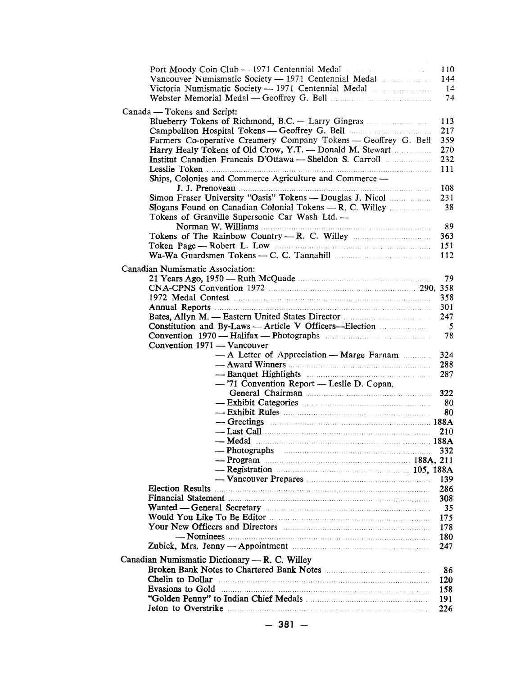| Port Moody Coin Club - 1971 Centennial Medal<br>and a string                                                                                                                                                                   | 110                     |
|--------------------------------------------------------------------------------------------------------------------------------------------------------------------------------------------------------------------------------|-------------------------|
| Vancouver Numismatic Society - 1971 Centennial Medal                                                                                                                                                                           | 144                     |
|                                                                                                                                                                                                                                | 14                      |
|                                                                                                                                                                                                                                | 74                      |
|                                                                                                                                                                                                                                |                         |
| Canada — Tokens and Script:                                                                                                                                                                                                    |                         |
| Blueberry Tokens of Richmond, B.C. - Larry Gingras                                                                                                                                                                             | 113                     |
|                                                                                                                                                                                                                                | 217                     |
| Farmers Co-operative Creamery Company Tokens — Geoffrey G. Bell                                                                                                                                                                | 359                     |
| Harry Healy Tokens of Old Crow, Y.T. - Donald M. Stewart                                                                                                                                                                       | 270                     |
|                                                                                                                                                                                                                                | 232                     |
|                                                                                                                                                                                                                                | 111                     |
| Ships, Colonies and Commerce Agriculture and Commerce -                                                                                                                                                                        |                         |
|                                                                                                                                                                                                                                | 108                     |
|                                                                                                                                                                                                                                | 231                     |
|                                                                                                                                                                                                                                | 38                      |
| Tokens of Granville Supersonic Car Wash Ltd. -                                                                                                                                                                                 |                         |
|                                                                                                                                                                                                                                | 89                      |
|                                                                                                                                                                                                                                | 363                     |
|                                                                                                                                                                                                                                | 151                     |
|                                                                                                                                                                                                                                |                         |
|                                                                                                                                                                                                                                | 112                     |
| Canadian Numismatic Association:                                                                                                                                                                                               |                         |
|                                                                                                                                                                                                                                | 79                      |
|                                                                                                                                                                                                                                |                         |
| 1972 Medal Contest (1972) 1972 Medal Contest (1972) Medal Contest (1974)                                                                                                                                                       | 358                     |
|                                                                                                                                                                                                                                | 301                     |
|                                                                                                                                                                                                                                | 247                     |
| Constitution and By-Laws - Article V Officers--Election                                                                                                                                                                        | $\overline{\mathbf{5}}$ |
|                                                                                                                                                                                                                                | 78                      |
| Convention 1971 - Vancouver                                                                                                                                                                                                    |                         |
|                                                                                                                                                                                                                                |                         |
| - A Letter of Appreciation - Marge Farnam                                                                                                                                                                                      | 324                     |
|                                                                                                                                                                                                                                | 288                     |
|                                                                                                                                                                                                                                | 287                     |
| -'71 Convention Report - Leslie D. Copan.                                                                                                                                                                                      |                         |
|                                                                                                                                                                                                                                | 322                     |
|                                                                                                                                                                                                                                | 80                      |
|                                                                                                                                                                                                                                | 80                      |
| $-$ Greetings $\ldots$ 188A                                                                                                                                                                                                    |                         |
|                                                                                                                                                                                                                                | 210                     |
|                                                                                                                                                                                                                                |                         |
| — Photographs                                                                                                                                                                                                                  | 332                     |
|                                                                                                                                                                                                                                |                         |
|                                                                                                                                                                                                                                |                         |
|                                                                                                                                                                                                                                | 139                     |
|                                                                                                                                                                                                                                | 286                     |
|                                                                                                                                                                                                                                | 308                     |
| Wanted — General Secretary manufactured and secretary manufactured with the secretary manufactured with the Secretary manufactured with the Secretary manufactured with the Secretary manufactured with the Secretary manufact | 35                      |
|                                                                                                                                                                                                                                | 175                     |
|                                                                                                                                                                                                                                | 178                     |
|                                                                                                                                                                                                                                |                         |
|                                                                                                                                                                                                                                | 180                     |
|                                                                                                                                                                                                                                | 247                     |
| Canadian Numismatic Dictionary — R. C. Willey                                                                                                                                                                                  |                         |
|                                                                                                                                                                                                                                | 86                      |
|                                                                                                                                                                                                                                | 120                     |
|                                                                                                                                                                                                                                | 158                     |
|                                                                                                                                                                                                                                | 191                     |
|                                                                                                                                                                                                                                | 226                     |
|                                                                                                                                                                                                                                |                         |
|                                                                                                                                                                                                                                |                         |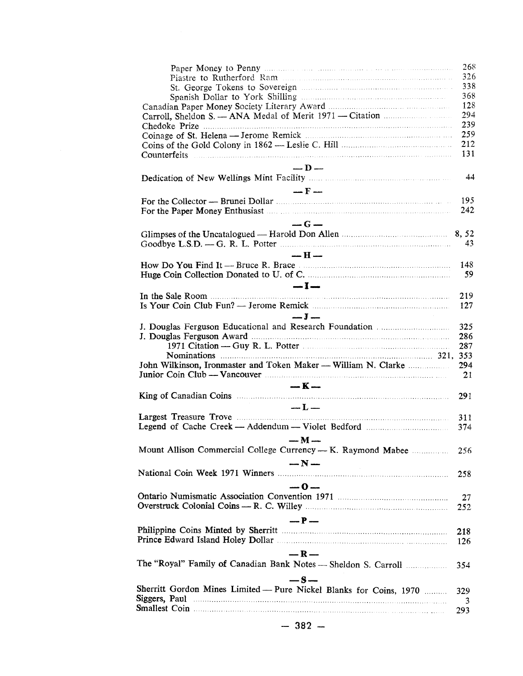|                                                                                                                                                                                                                                                                        | 268 |
|------------------------------------------------------------------------------------------------------------------------------------------------------------------------------------------------------------------------------------------------------------------------|-----|
|                                                                                                                                                                                                                                                                        | 326 |
|                                                                                                                                                                                                                                                                        | 338 |
|                                                                                                                                                                                                                                                                        | 368 |
|                                                                                                                                                                                                                                                                        | 128 |
|                                                                                                                                                                                                                                                                        | 294 |
|                                                                                                                                                                                                                                                                        | 239 |
|                                                                                                                                                                                                                                                                        | 259 |
|                                                                                                                                                                                                                                                                        | 212 |
|                                                                                                                                                                                                                                                                        | 131 |
| $-$ D $-$                                                                                                                                                                                                                                                              |     |
|                                                                                                                                                                                                                                                                        | 44  |
|                                                                                                                                                                                                                                                                        |     |
| $-F-$                                                                                                                                                                                                                                                                  |     |
| For the Collector — Brunei Dollar manufactured with the Collector — Brunei Dollar                                                                                                                                                                                      | 195 |
|                                                                                                                                                                                                                                                                        | 242 |
| $-G =$                                                                                                                                                                                                                                                                 |     |
|                                                                                                                                                                                                                                                                        |     |
|                                                                                                                                                                                                                                                                        |     |
|                                                                                                                                                                                                                                                                        | 43  |
| $-$ H $-$                                                                                                                                                                                                                                                              |     |
| How Do You Find It — Bruce R. Brace <b>Example 20</b> Find The State of Table 3.                                                                                                                                                                                       | 148 |
|                                                                                                                                                                                                                                                                        | 59  |
| $-1-$                                                                                                                                                                                                                                                                  |     |
|                                                                                                                                                                                                                                                                        | 219 |
|                                                                                                                                                                                                                                                                        | 127 |
| $-J-$                                                                                                                                                                                                                                                                  |     |
|                                                                                                                                                                                                                                                                        | 325 |
|                                                                                                                                                                                                                                                                        | 286 |
|                                                                                                                                                                                                                                                                        | 287 |
|                                                                                                                                                                                                                                                                        |     |
| John Wilkinson, Ironmaster and Token Maker — William N. Clarke                                                                                                                                                                                                         | 294 |
| Junior Coin Club — Vancouver <b>Material Accords</b> 1999 - 1999                                                                                                                                                                                                       |     |
|                                                                                                                                                                                                                                                                        | 21  |
| $-K-$                                                                                                                                                                                                                                                                  |     |
| King of Canadian Coins <b>Example 2</b> and the Coins <b>Example 2</b> and the Coins <b>Example 2</b> and the Coins <b>Example 2</b> and the Coins <b>Example 2</b> and the Coins <b>Example 2</b> and the Coins <b>Example 2</b> and the Coins <b>Example 2</b> and t | 291 |
| $\mathbf{L}$                                                                                                                                                                                                                                                           |     |
|                                                                                                                                                                                                                                                                        | 311 |
|                                                                                                                                                                                                                                                                        | 374 |
| $-M -$                                                                                                                                                                                                                                                                 |     |
| Mount Allison Commercial College Currency — K. Raymond Mabee                                                                                                                                                                                                           |     |
|                                                                                                                                                                                                                                                                        | 256 |
| $-N-$                                                                                                                                                                                                                                                                  |     |
|                                                                                                                                                                                                                                                                        | 258 |
| $-0-$                                                                                                                                                                                                                                                                  |     |
|                                                                                                                                                                                                                                                                        | 27  |
|                                                                                                                                                                                                                                                                        |     |
|                                                                                                                                                                                                                                                                        | 252 |
| $-P-$                                                                                                                                                                                                                                                                  |     |
|                                                                                                                                                                                                                                                                        | 218 |
|                                                                                                                                                                                                                                                                        | 126 |
| $-R-$                                                                                                                                                                                                                                                                  |     |
|                                                                                                                                                                                                                                                                        |     |
| The "Royal" Family of Canadian Bank Notes - Sheldon S. Carroll                                                                                                                                                                                                         | 354 |
| $-$ S $-$                                                                                                                                                                                                                                                              |     |
| Sherritt Gordon Mines Limited - Pure Nickel Blanks for Coins, 1970                                                                                                                                                                                                     |     |
|                                                                                                                                                                                                                                                                        |     |
|                                                                                                                                                                                                                                                                        | 329 |
| Siggers, Paul <b>Election Communist Communist Communist Communist Communist Communist Communist Communist Communist Communist Communist Communist Communist Communist Communist Communist Communist Communist Communist Communis</b>                                   | 3   |
| Smallest Coin <b>communication</b> and contract the contract of the contract of the contract of the contract of the contract of the contract of the contract of the contract of the contract of the contract of the contract of the                                    | 293 |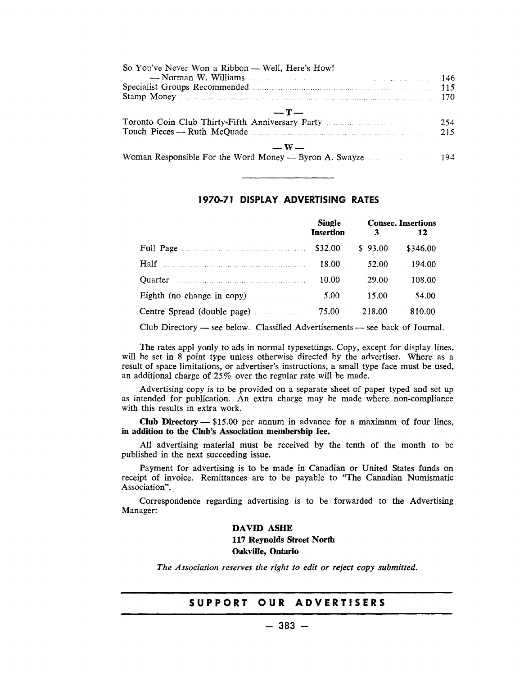| So You've Never Won a Ribbon — Well, Here's How!                                                                                                                                                                               |     |
|--------------------------------------------------------------------------------------------------------------------------------------------------------------------------------------------------------------------------------|-----|
|                                                                                                                                                                                                                                | 146 |
| Specialist Groups Recommended Manuscript Construction of the Specialist Groups Recommended Manuscript Construction of the Specialist Groups Recommended Manuscript Construction of the Specialist Groups Recommended Manuscrip | 115 |
|                                                                                                                                                                                                                                | 170 |
| $-T-$                                                                                                                                                                                                                          | 215 |
| $-\mathbf{W}$<br>Woman Responsible For the Word Money — Byron A. Swayze 194                                                                                                                                                    |     |

#### 1970·71 DISPLAY ADVERTISING RATES

|                                                                                                                                                                                                                                | <b>Single</b><br><b>Insertion</b> | 3       | <b>Consec.</b> Insertions<br>12 |
|--------------------------------------------------------------------------------------------------------------------------------------------------------------------------------------------------------------------------------|-----------------------------------|---------|---------------------------------|
| Full Page                                                                                                                                                                                                                      | \$32.00                           | \$93.00 | \$346.00                        |
| Half                                                                                                                                                                                                                           | 18.00                             | 52.00   | 194.00                          |
| Quarter manufactured and the contract of the contract of the contract of the contract of the contract of the contract of the contract of the contract of the contract of the contract of the contract of the contract of the c | 10.00                             | 29.00   | 108.00                          |
|                                                                                                                                                                                                                                | 5.00                              | 15.00   | 54.00                           |
| Centre Spread (double page)                                                                                                                                                                                                    | 75.00                             | 218.00  | 810.00                          |

Club Directory — see below. Classified Advertisements — see back of Journal.

The rates appl yonly to ads in normal typesettings. Copy, except for display lines, will be set in 8 point type unless otherwise directed by the advertiser. Where as a result of space limitations, or advertiser's instructions, a small type face must be used, an additional charge of 25% over the regular rate will be made.

Advertising copy is to be provided on a separate sheet of paper typed and set up as intended for publication. An extra charge may be made where non-compliance with this results in extra work.

Club Directory  $-$  \$15.00 per annum in advance for a maximum of four lines, in addition to the Club's Association membership fee.

All advertising material must be received by the tenth of the month to be published in the next succeeding issue.

Payment for advertising is to be made in Canadian or United States funds on receipt of invoice. Remittances are to be payable to "The Canadian Numismatic Association".

Correspondence regarding advertising is to be forwarded to the Advertising Manager:

> DAVID ASHE 117 Reynolds Street North Oakville, Ontario

*The Association reserves the right to edit or reject copy submitted.*

#### SUPPORT OUR ADVERTISERS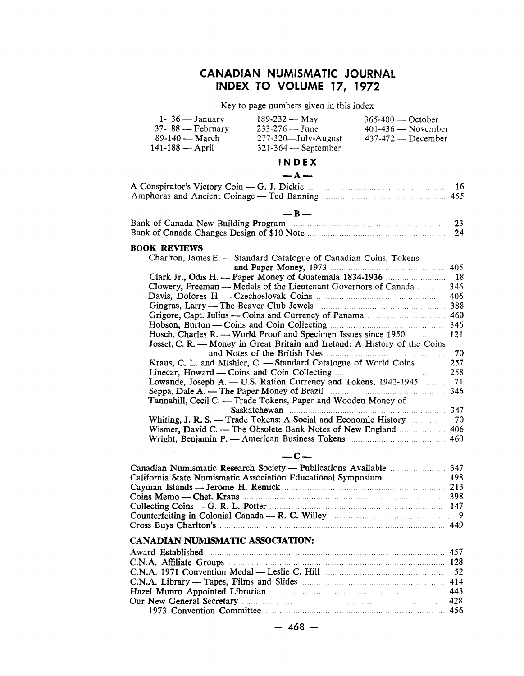### **CANADIAN NUMISMATIC JOURNAL INDEX TO VOLUME 17, 1972**

Key to page numbers given in this index

| 1- $36 - January$<br>$37 - 88$ — February                          | 189-232 — May<br>$233 - 276 - June$                                            | $365-400$ — October<br>$401-436$ - November |          |
|--------------------------------------------------------------------|--------------------------------------------------------------------------------|---------------------------------------------|----------|
| 89-140 — March                                                     | 277-320-July-August                                                            | 437-472 - December                          |          |
| $141 - 188 -$ April                                                | 321-364 - September                                                            |                                             |          |
|                                                                    | INDEX                                                                          |                                             |          |
|                                                                    | $- A -$                                                                        |                                             |          |
| A Conspirator's Victory Coin - G. J. Dickie <b>Example 2018</b> 16 |                                                                                |                                             |          |
|                                                                    |                                                                                |                                             | 455      |
|                                                                    |                                                                                |                                             |          |
|                                                                    | $-$ R $-$                                                                      |                                             |          |
|                                                                    |                                                                                |                                             | 23<br>24 |
|                                                                    |                                                                                |                                             |          |
| <b>BOOK REVIEWS</b>                                                |                                                                                |                                             |          |
|                                                                    | Charlton, James E. - Standard Catalogue of Canadian Coins, Tokens              |                                             |          |
|                                                                    |                                                                                |                                             | 405      |
|                                                                    | Clowery, Freeman — Medals of the Lieutenant Governors of Canada                |                                             | 346      |
|                                                                    |                                                                                |                                             | 406      |
|                                                                    |                                                                                |                                             |          |
|                                                                    |                                                                                |                                             |          |
|                                                                    |                                                                                |                                             | 346      |
|                                                                    | Hosch, Charles R. — World Proof and Specimen Issues since 1950                 |                                             | 121      |
|                                                                    | Josset, C. R. — Money in Great Britain and Ireland: A History of the Coins     |                                             |          |
|                                                                    |                                                                                |                                             |          |
|                                                                    | Kraus, C. L. and Mishler, C. — Standard Catalogue of World Coins 257           |                                             |          |
|                                                                    |                                                                                |                                             | 258      |
|                                                                    | Lowande, Joseph A. — U.S. Ration Currency and Tokens, 1942-1945                |                                             | 71       |
|                                                                    | Tannahill, Cecil C. — Trade Tokens, Paper and Wooden Money of                  |                                             | 346      |
|                                                                    |                                                                                |                                             |          |
|                                                                    |                                                                                |                                             |          |
|                                                                    | Wismer, David C. — The Obsolete Bank Notes of New England <b>Election</b> 2016 |                                             | 406      |
|                                                                    |                                                                                |                                             |          |

#### **-c-**

| Collecting Coins — G. R. L. Potter $\ldots$ . $\ldots$ . $\ldots$ . $\ldots$ . 147 |  |
|------------------------------------------------------------------------------------|--|
|                                                                                    |  |
|                                                                                    |  |

#### **CANADIAN NUMISMATIC ASSOCIATION:**

| Our New General Secretary manufactured and 428 |  |
|------------------------------------------------|--|
|                                                |  |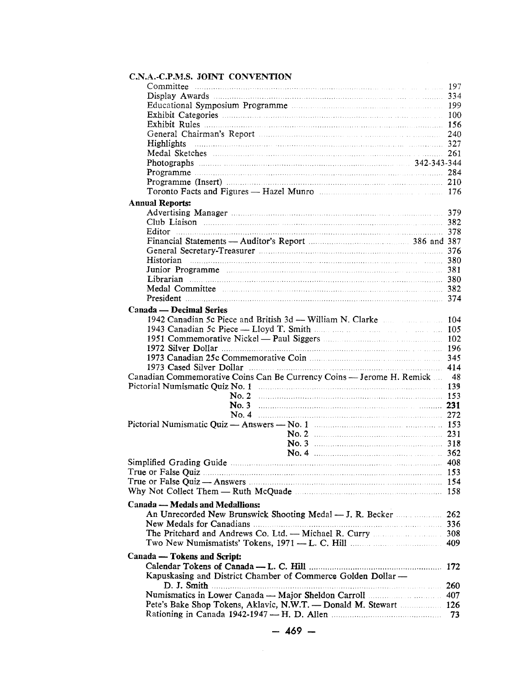| C.N.A.-C.P.M.S. JOINT CONVENTION                                                                                |                    |                        |  |
|-----------------------------------------------------------------------------------------------------------------|--------------------|------------------------|--|
|                                                                                                                 |                    | 197<br><b>Services</b> |  |
|                                                                                                                 |                    |                        |  |
|                                                                                                                 |                    |                        |  |
|                                                                                                                 |                    |                        |  |
|                                                                                                                 |                    |                        |  |
| General Chairman's Report (1996) 240                                                                            |                    |                        |  |
| <b>Highlights</b>                                                                                               |                    |                        |  |
| Medal Sketches 261                                                                                              |                    |                        |  |
|                                                                                                                 |                    |                        |  |
|                                                                                                                 |                    |                        |  |
|                                                                                                                 |                    |                        |  |
|                                                                                                                 |                    |                        |  |
|                                                                                                                 |                    |                        |  |
| <b>Annual Reports:</b>                                                                                          |                    |                        |  |
|                                                                                                                 |                    |                        |  |
|                                                                                                                 |                    |                        |  |
| <b>Editor</b> 378                                                                                               |                    |                        |  |
| Financial Statements — Auditor's Report manufacturer and 387                                                    |                    |                        |  |
|                                                                                                                 |                    |                        |  |
| Historian 380                                                                                                   |                    |                        |  |
|                                                                                                                 |                    |                        |  |
| Librarian 380                                                                                                   |                    |                        |  |
|                                                                                                                 |                    |                        |  |
| President 374                                                                                                   |                    |                        |  |
| Canada — Decimal Series                                                                                         |                    |                        |  |
|                                                                                                                 |                    |                        |  |
|                                                                                                                 |                    |                        |  |
|                                                                                                                 |                    |                        |  |
| 196 metal.com and the USA of the USA of the USA of the USA of the USA of the USA of the USA of the USA of the U |                    |                        |  |
|                                                                                                                 |                    |                        |  |
| 1973 Cased Silver Dollar (1973) 414                                                                             |                    |                        |  |
| Canadian Commemorative Coins Can Be Currency Coins — Jerome H. Remick  48                                       |                    |                        |  |
|                                                                                                                 |                    |                        |  |
|                                                                                                                 | No. 2 $\ldots$ 153 |                        |  |
|                                                                                                                 |                    |                        |  |
|                                                                                                                 | No. 4 272          |                        |  |
|                                                                                                                 |                    |                        |  |
|                                                                                                                 |                    |                        |  |
|                                                                                                                 |                    |                        |  |
|                                                                                                                 |                    | 362                    |  |
|                                                                                                                 |                    |                        |  |
|                                                                                                                 |                    |                        |  |
|                                                                                                                 |                    |                        |  |
|                                                                                                                 |                    |                        |  |
|                                                                                                                 |                    |                        |  |
| Canada — Medals and Medallions:                                                                                 |                    |                        |  |
|                                                                                                                 |                    | 262                    |  |
| New Medals for Canadians <b>Material Contract and Street August</b> 336                                         |                    |                        |  |
|                                                                                                                 |                    |                        |  |
|                                                                                                                 |                    |                        |  |
| Canada — Tokens and Script:                                                                                     |                    |                        |  |
|                                                                                                                 |                    |                        |  |
| Kapuskasing and District Chamber of Commerce Golden Dollar -                                                    |                    |                        |  |
|                                                                                                                 |                    | 260                    |  |
| Numismatics in Lower Canada — Major Sheldon Carroll <b>Example 2018</b> 407                                     |                    |                        |  |
| Pete's Bake Shop Tokens, Aklavic, N.W.T. - Donald M. Stewart  126                                               |                    |                        |  |
|                                                                                                                 |                    |                        |  |
|                                                                                                                 |                    |                        |  |

 $\mathcal{A}^{\mathcal{A}}$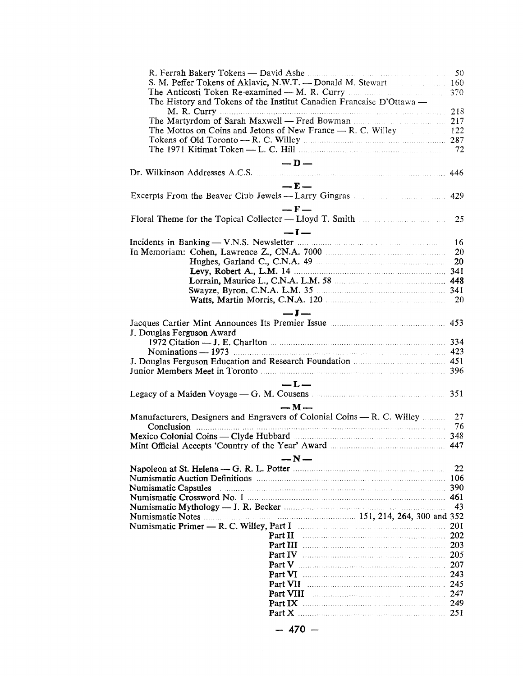| S. M. Peffer Tokens of Aklavic, N.W.T. — Donald M. Stewart              |     |
|-------------------------------------------------------------------------|-----|
|                                                                         | 370 |
| The History and Tokens of the Institut Canadien Francaise D'Ottawa —    |     |
|                                                                         |     |
| The Martyrdom of Sarah Maxwell — Fred Bowman manuscripture 217          |     |
| The Mottos on Coins and Jetons of New France — R. C. Willey 1996. 122   |     |
|                                                                         |     |
|                                                                         | 72  |
| $-D$                                                                    |     |
|                                                                         |     |
| $-$ F $-$                                                               |     |
|                                                                         |     |
|                                                                         |     |
| $-F-$                                                                   |     |
|                                                                         |     |
| $-I-$                                                                   |     |
|                                                                         | 16  |
|                                                                         | 20  |
| Hughes, Garland C., C.N.A. 49 [20] Manufacture 20                       |     |
|                                                                         |     |
|                                                                         |     |
|                                                                         |     |
|                                                                         |     |
| $-J-$                                                                   |     |
|                                                                         |     |
| J. Douglas Ferguson Award                                               |     |
|                                                                         |     |
|                                                                         |     |
|                                                                         |     |
|                                                                         |     |
|                                                                         |     |
| $-L-$                                                                   | 351 |
| Legacy of a Maiden Voyage — G. M. Cousens <b>Example 20</b> 2012        |     |
| $-M-$                                                                   |     |
| Manufacturers, Designers and Engravers of Colonial Coins — R. C. Willey | 27  |
|                                                                         | -76 |
| Mexico Colonial Coins — Clyde Hubbard manufactured and 348              |     |
|                                                                         |     |
| — N —                                                                   |     |
|                                                                         | 22  |
|                                                                         | 106 |
| Numismatic Capsules                                                     | 390 |
|                                                                         | 461 |
|                                                                         | 43  |
|                                                                         |     |
|                                                                         | 201 |
| Part II                                                                 | 202 |
|                                                                         | 203 |
|                                                                         | 205 |
|                                                                         | 207 |
| Part VI                                                                 | 243 |
| Part VII                                                                | 245 |
| Part VIII                                                               | 247 |
|                                                                         | 249 |
|                                                                         |     |
| 470                                                                     |     |
|                                                                         |     |

 $\mathcal{L}^{\text{max}}_{\text{max}}$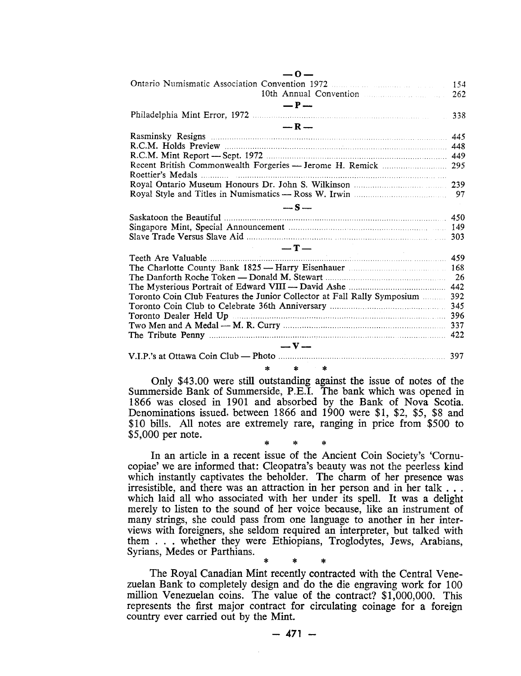| $-0-$                                                                        |     |
|------------------------------------------------------------------------------|-----|
|                                                                              | 154 |
| 10th Annual Convention                                                       | 262 |
| $- P -$                                                                      |     |
|                                                                              | 338 |
| $-R-$                                                                        |     |
|                                                                              | 445 |
|                                                                              |     |
|                                                                              |     |
| Recent British Commonwealth Forgeries - Jerome H. Remick  295                |     |
|                                                                              |     |
|                                                                              |     |
|                                                                              | 97  |
| $-S-$                                                                        |     |
|                                                                              | 450 |
|                                                                              |     |
|                                                                              |     |
| $-T-$                                                                        |     |
|                                                                              | 459 |
|                                                                              |     |
|                                                                              | 26  |
|                                                                              |     |
| Toronto Coin Club Features the Junior Collector at Fall Rally Symposium  392 |     |
|                                                                              | 345 |
| Toronto Dealer Held Up 2000 and 2000 and 2000 and 396                        |     |
|                                                                              |     |
|                                                                              |     |
| $-\mathbf{v}$                                                                |     |
|                                                                              |     |

\* \* \* Only \$43.00 were still outstanding against the issue of notes of the Summerside Bank of Summerside, P.B.I. The bank which was opened in 1866 was closed in 1901 and absorbed by the Bank of Nova Scotia. Denominations issued, between 1866 and 1900 were \$1, \$2, \$5, \$8 and \$10 bills. All notes are extremely rare, ranging in price from \$500 to \$5,000 per note.

\* \* \* In an article in a recent issue of the Ancient Coin Society's 'Comucopiae' we are informed that: Cleopatra's beauty was not the peerless kind which instantly captivates the beholder. The charm of her presence was irresistible, and there was an attraction in her person and in her talk  $\dots$ which laid all who associated with her under its spell. It was a delight merely to listen to the sound of her voice because, like an instrument of many strings, she could pass from one language to another in her interviews with foreigners, she seldom required an interpreter, but talked with them . . . whether they were Ethiopians, Troglodytes, Jews, Arabians, Syrians, Medes or Parthians.

\* \* \* The Royal Canadian Mint recently contracted with the Central Venezuelan Bank to completely design and do the die engraving work for 100 million Venezuelan coins. The value of the contract? \$1,000,000. This represents the first major contract for circulating coinage for a foreign country ever carried out by the Mint.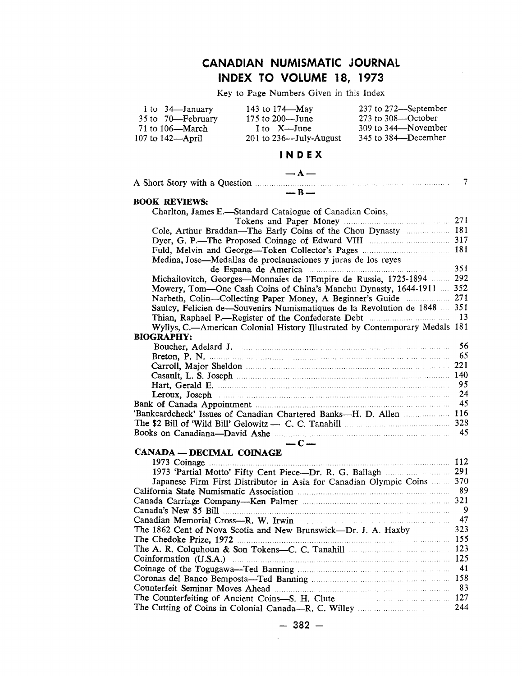# **CANADIAN NUMISMATIC JOURNAL INDEX TO VOLUME 18, 1973**

Key to Page Numbers Given in this Index

| 1 to 34 January          | 143 to 174—May                                                                                                                                                                                                                 | 237 to 272-September |                |
|--------------------------|--------------------------------------------------------------------------------------------------------------------------------------------------------------------------------------------------------------------------------|----------------------|----------------|
| 35 to 70—February        | 175 to 200-June                                                                                                                                                                                                                | 273 to 308-October   |                |
| 71 to 106-March          | I to X—June                                                                                                                                                                                                                    | 309 to 344 November  |                |
| 107 to 142-April         | $201$ to $236$ —July-August                                                                                                                                                                                                    | 345 to 384-December  |                |
|                          | INDEX                                                                                                                                                                                                                          |                      |                |
|                          | $- A -$                                                                                                                                                                                                                        |                      |                |
|                          | $-$ B $-$                                                                                                                                                                                                                      |                      | $\overline{7}$ |
| <b>BOOK REVIEWS:</b>     |                                                                                                                                                                                                                                |                      |                |
|                          | Charlton, James E.—Standard Catalogue of Canadian Coins,                                                                                                                                                                       |                      |                |
|                          |                                                                                                                                                                                                                                |                      |                |
|                          | Cole, Arthur Braddan-The Early Coins of the Chou Dynasty  181                                                                                                                                                                  |                      |                |
|                          |                                                                                                                                                                                                                                |                      |                |
|                          | Medina, Jose—Medallas de proclamaciones y juras de los reyes                                                                                                                                                                   |                      |                |
|                          |                                                                                                                                                                                                                                |                      |                |
|                          | Michailovitch, Georges-Monnaies de l'Empire de Russie, 1725-1894  292                                                                                                                                                          |                      |                |
|                          | Mowery, Tom-One Cash Coins of China's Manchu Dynasty, 1644-1911  352                                                                                                                                                           |                      |                |
|                          | Narbeth, Colin-Collecting Paper Money, A Beginner's Guide  271                                                                                                                                                                 |                      |                |
|                          | Saulcy, Felicien de-Souvenirs Numismatiques de la Revolution de 1848  351                                                                                                                                                      |                      |                |
|                          |                                                                                                                                                                                                                                |                      |                |
|                          | Wyllys, C.-American Colonial History Illustrated by Contemporary Medals 181                                                                                                                                                    |                      |                |
| <b>BIOGRAPHY:</b>        |                                                                                                                                                                                                                                |                      |                |
|                          |                                                                                                                                                                                                                                |                      | 56<br>65       |
|                          |                                                                                                                                                                                                                                |                      |                |
|                          |                                                                                                                                                                                                                                |                      |                |
|                          |                                                                                                                                                                                                                                |                      | 95             |
|                          | Leroux, Joseph manufactured and the contract of the contract of the contract of the contract of the contract of the contract of the contract of the contract of the contract of the contract of the contract of the contract o |                      | 24             |
|                          |                                                                                                                                                                                                                                |                      | 45             |
|                          | 'Bankcardcheck' Issues of Canadian Chartered Banks---H. D. Allen  116                                                                                                                                                          |                      |                |
|                          |                                                                                                                                                                                                                                |                      |                |
|                          |                                                                                                                                                                                                                                |                      | -45            |
|                          | $-C-$                                                                                                                                                                                                                          |                      |                |
| CANADA — DECIMAL COINAGE |                                                                                                                                                                                                                                |                      |                |
|                          |                                                                                                                                                                                                                                |                      |                |
|                          | Japanese Firm First Distributor in Asia for Canadian Olympic Coins  370                                                                                                                                                        |                      |                |
|                          |                                                                                                                                                                                                                                |                      | 89             |
|                          |                                                                                                                                                                                                                                |                      | 321            |
|                          |                                                                                                                                                                                                                                |                      | 9              |
|                          |                                                                                                                                                                                                                                |                      | 47             |
|                          | The 1862 Cent of Nova Scotia and New Brunswick-Dr. J. A. Haxby                                                                                                                                                                 |                      | 323            |
|                          |                                                                                                                                                                                                                                |                      | 155            |
|                          |                                                                                                                                                                                                                                |                      | 123            |
|                          |                                                                                                                                                                                                                                |                      |                |
|                          |                                                                                                                                                                                                                                |                      | 41             |
|                          |                                                                                                                                                                                                                                |                      |                |
|                          |                                                                                                                                                                                                                                |                      | 83<br>127      |
|                          |                                                                                                                                                                                                                                |                      | 244            |
|                          |                                                                                                                                                                                                                                |                      |                |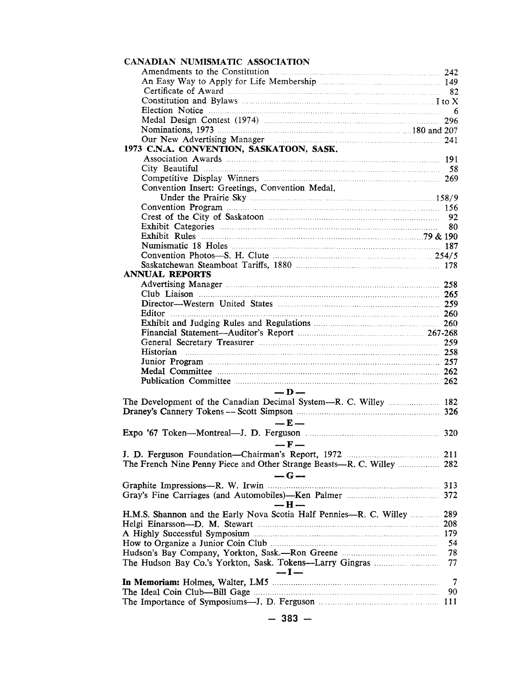| CANADIAN NUMISMATIC ASSOCIATION                                        |            |
|------------------------------------------------------------------------|------------|
| Amendments to the Constitution <b>Example 242</b> 242                  |            |
|                                                                        |            |
|                                                                        |            |
| Constitution and Bylaws <b>Example 20</b> I to X                       |            |
|                                                                        |            |
|                                                                        |            |
|                                                                        |            |
| Our New Advertising Manager <b>Manager</b> 241                         |            |
| 1973 C.N.A. CONVENTION, SASKATOON, SASK.                               |            |
|                                                                        |            |
|                                                                        |            |
|                                                                        |            |
| Convention Insert: Greetings, Convention Medal,                        |            |
|                                                                        |            |
|                                                                        |            |
|                                                                        | - 92       |
|                                                                        | 80         |
|                                                                        |            |
|                                                                        |            |
|                                                                        |            |
|                                                                        |            |
| <b>ANNUAL REPORTS</b>                                                  |            |
|                                                                        |            |
|                                                                        |            |
|                                                                        |            |
| Editor 260                                                             |            |
|                                                                        |            |
| Financial Statement-Auditor's Report manufactured and 267-268          |            |
|                                                                        |            |
| Historian 258                                                          |            |
|                                                                        |            |
|                                                                        |            |
|                                                                        |            |
|                                                                        |            |
| $-$ D $-$                                                              |            |
|                                                                        |            |
|                                                                        |            |
| $-E-$                                                                  |            |
|                                                                        |            |
| $-F \rightarrow F$                                                     |            |
|                                                                        |            |
| The French Nine Penny Piece and Other Strange Beasts-R. C. Willey  282 |            |
| $-G-$                                                                  |            |
|                                                                        | 313        |
|                                                                        |            |
| — н —                                                                  |            |
| H.M.S. Shannon and the Early Nova Scotia Half Pennies-R. C. Willey     | 289        |
|                                                                        |            |
|                                                                        | <b>208</b> |
|                                                                        | 54         |
|                                                                        |            |
|                                                                        | 78         |
|                                                                        | 77         |
| $-I -$                                                                 |            |
|                                                                        | $\tau$     |
|                                                                        | 90         |
|                                                                        |            |
|                                                                        |            |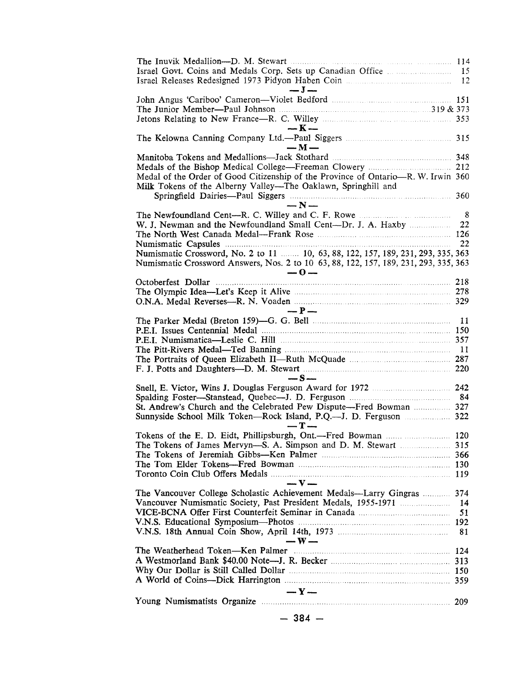| The Inuvik Medallion----D. M. Stewart manufacturers and the Inuvik Medallion----D. M. Stewart                                                                                            |                           |
|------------------------------------------------------------------------------------------------------------------------------------------------------------------------------------------|---------------------------|
| $-$ J $-$                                                                                                                                                                                |                           |
|                                                                                                                                                                                          |                           |
| The Junior Member—Paul Johnson $\ldots$ $\ldots$ $\ldots$ $\ldots$ $\ldots$ $\ldots$ $\ldots$ $\ldots$ 319 & 373<br>Jetons Relating to New France—R. C. Willey <b>Election</b> 2016 2016 | 353                       |
| $-K-$                                                                                                                                                                                    |                           |
| $-M-$                                                                                                                                                                                    |                           |
|                                                                                                                                                                                          |                           |
|                                                                                                                                                                                          | 212                       |
| Medal of the Order of Good Citizenship of the Province of Ontario-R. W. Irwin 360                                                                                                        |                           |
| Milk Tokens of the Alberny Valley—The Oaklawn, Springhill and                                                                                                                            |                           |
|                                                                                                                                                                                          | 360                       |
| $-N-$                                                                                                                                                                                    |                           |
|                                                                                                                                                                                          | $\overline{\phantom{0}8}$ |
| W. J. Newman and the Newfoundland Small Cent----Dr. J. A. Haxby                                                                                                                          | 22                        |
|                                                                                                                                                                                          |                           |
|                                                                                                                                                                                          | 22                        |
| Numismatic Crossword, No. 2 to 11 main 10, 63, 88, 122, 157, 189, 231, 293, 335, 363                                                                                                     |                           |
| Numismatic Crossword Answers, Nos. 2 to 10 63, 88, 122, 157, 189, 231, 293, 335, 363<br>$-0-$                                                                                            |                           |
|                                                                                                                                                                                          | 218                       |
|                                                                                                                                                                                          |                           |
|                                                                                                                                                                                          |                           |
| $- P -$                                                                                                                                                                                  |                           |
|                                                                                                                                                                                          |                           |
|                                                                                                                                                                                          |                           |
|                                                                                                                                                                                          |                           |
|                                                                                                                                                                                          |                           |
|                                                                                                                                                                                          |                           |
|                                                                                                                                                                                          |                           |
| $-S-$                                                                                                                                                                                    |                           |
|                                                                                                                                                                                          |                           |
| St. Andrew's Church and the Celebrated Pew Dispute—Fred Bowman  327                                                                                                                      |                           |
|                                                                                                                                                                                          |                           |
| $-T-$                                                                                                                                                                                    |                           |
|                                                                                                                                                                                          |                           |
|                                                                                                                                                                                          |                           |
|                                                                                                                                                                                          |                           |
|                                                                                                                                                                                          | 130                       |
|                                                                                                                                                                                          | 119                       |
| $-\mathbf{V}$                                                                                                                                                                            |                           |
| The Vancouver College Scholastic Achievement Medals—Larry Gingras                                                                                                                        | 374                       |
|                                                                                                                                                                                          | 14                        |
|                                                                                                                                                                                          | 51                        |
|                                                                                                                                                                                          | 81                        |
| $-$ W $-$                                                                                                                                                                                |                           |
| The Weatherhead Token-Ken Palmer                                                                                                                                                         | 124                       |
|                                                                                                                                                                                          |                           |
|                                                                                                                                                                                          |                           |
|                                                                                                                                                                                          |                           |
| $-Y-$                                                                                                                                                                                    |                           |
|                                                                                                                                                                                          | 209                       |
| - 384 —                                                                                                                                                                                  |                           |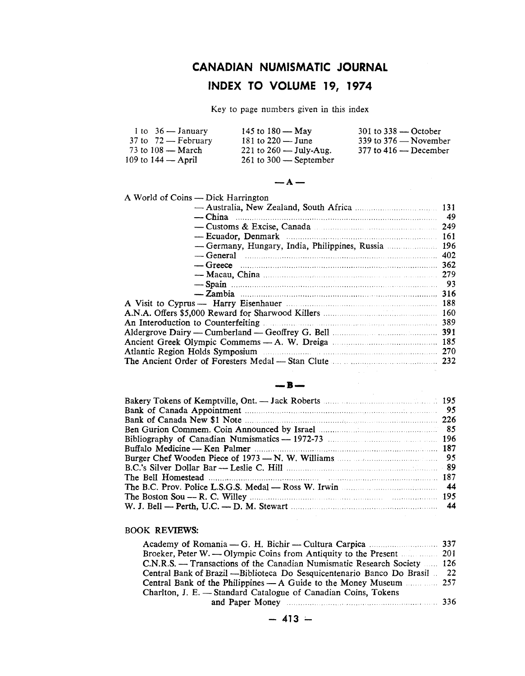# **CANADIAN NUMISMATIC JOURNAL**

# **INDEX TO VOLUME 19, 1974**

Key to page numbers given in this index

| 1 to $36 -$ January                   | 145 to $180 - May$         | $301$ to $338 -$ October  |
|---------------------------------------|----------------------------|---------------------------|
| $37 \text{ to } 72 - \text{February}$ | 181 to $220 -$ June        | 339 to $376$ — November   |
| 73 to $108 - \text{March}$            | 221 to $260 -$ July-Aug.   | $377$ to $416 -$ December |
| 109 to 144 — April                    | $261$ to $300$ — September |                           |



 $\sim 10^{-1}$ 

A World of Coins — Dick Harrington

| $-\text{China}$                                                                                                                                                                                                                |  |
|--------------------------------------------------------------------------------------------------------------------------------------------------------------------------------------------------------------------------------|--|
| - Customs & Excise, Canada manufactured contract 249                                                                                                                                                                           |  |
|                                                                                                                                                                                                                                |  |
| - Germany, Hungary, India, Philippines, Russia  196                                                                                                                                                                            |  |
| $\sim$ General $\sim$ 402                                                                                                                                                                                                      |  |
|                                                                                                                                                                                                                                |  |
| — Macau, China <b>musical contract of the Macau</b> , 279                                                                                                                                                                      |  |
| — Spain (1993) — Spain (1994) — Spain (1994) — Spain (1993) — Spain (1993) — Spain (1994) — Spain (1994) — Spain (1995) — Spain (1996) — Spain (1996) — Spain (1996) — Spain (1996) — Spain (1996) — Spain (1996) — Spain (199 |  |
|                                                                                                                                                                                                                                |  |
|                                                                                                                                                                                                                                |  |
|                                                                                                                                                                                                                                |  |
| An Interoduction to Counterfeiting manuscripture and 1899                                                                                                                                                                      |  |
|                                                                                                                                                                                                                                |  |
|                                                                                                                                                                                                                                |  |
| Atlantic Region Holds Symposium <b>Example 2018</b> 270                                                                                                                                                                        |  |
| The Ancient Order of Foresters Medal — Stan Clute <b>Manufacture</b> 232                                                                                                                                                       |  |
|                                                                                                                                                                                                                                |  |
| R                                                                                                                                                                                                                              |  |
|                                                                                                                                                                                                                                |  |
| .                                                                                                                                                                                                                              |  |

# **-8-**

| Bank of Canada Appointment manufactured and the set of the set of the set of the set of the set of the set of the set of the set of the set of the set of the set of the set of the set of the set of the set of the set of th |  |
|--------------------------------------------------------------------------------------------------------------------------------------------------------------------------------------------------------------------------------|--|
|                                                                                                                                                                                                                                |  |
|                                                                                                                                                                                                                                |  |
|                                                                                                                                                                                                                                |  |
|                                                                                                                                                                                                                                |  |
| Burger Chef Wooden Piece of 1973 — N. W. Williams <b>Example 2018</b> 25                                                                                                                                                       |  |
|                                                                                                                                                                                                                                |  |
|                                                                                                                                                                                                                                |  |
| The B.C. Prov. Police L.S.G.S. Medal — Ross W. Irwin <b>Election</b> 44.                                                                                                                                                       |  |
|                                                                                                                                                                                                                                |  |
|                                                                                                                                                                                                                                |  |

#### BOOK REVIEWS:

| Broeker, Peter W. — Olympic Coins from Antiquity to the Present 201         |  |
|-----------------------------------------------------------------------------|--|
| C.N.R.S. — Transactions of the Canadian Numismatic Research Society  126    |  |
| Central Bank of Brazil — Biblioteca Do Sesquicentenario Banco Do Brasil  22 |  |
|                                                                             |  |
| Charlton, J. E. — Standard Catalogue of Canadian Coins, Tokens              |  |
| and Paper Money manufactured and Paper Money manufactured and Paper Money   |  |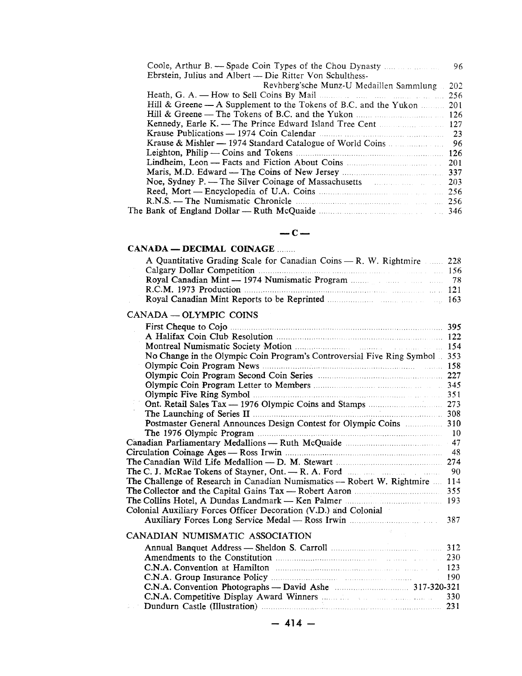|                                                                  | 96  |
|------------------------------------------------------------------|-----|
| Ebrstein, Julius and Albert — Die Ritter Von Schulthess-         |     |
| Revhberg'sche Munz-U Medaillen Sammlung                          | 202 |
|                                                                  | 256 |
| Hill & Greene — A Supplement to the Tokens of B.C. and the Yukon | 201 |
|                                                                  |     |
|                                                                  | 127 |
| Krause Publications — 1974 Coin Calendar (1994) 23               |     |
|                                                                  | -96 |
|                                                                  | 126 |
|                                                                  | 201 |
|                                                                  | 337 |
| Noe, Sydney P. — The Silver Coinage of Massachusetts 203         |     |
|                                                                  |     |
|                                                                  |     |
|                                                                  |     |
|                                                                  |     |

#### **-C-**

#### **CANADA - DECIMAL COINAGE** ....

| A Quantitative Grading Scale for Canadian Coins — R. W. Rightmire  228                                                                                                                                                               |  |
|--------------------------------------------------------------------------------------------------------------------------------------------------------------------------------------------------------------------------------------|--|
|                                                                                                                                                                                                                                      |  |
|                                                                                                                                                                                                                                      |  |
| R.C.M. 1973 Production <b>Material Contract Contract Contract Contract Contract Contract Contract Contract Contract Contract Contract Contract Contract Contract Contract Contract Contract Contract Contract Contract Contract </b> |  |
|                                                                                                                                                                                                                                      |  |

#### CANADA - OLYMPIC COINS

|                                                                              | 395 |
|------------------------------------------------------------------------------|-----|
|                                                                              | 122 |
| Montreal Numismatic Society Motion manufacturers and the 154                 |     |
| No Change in the Olympic Coin Program's Controversial Five Ring Symbol       | 353 |
|                                                                              | 158 |
|                                                                              | 227 |
|                                                                              |     |
|                                                                              |     |
|                                                                              |     |
|                                                                              |     |
| Postmaster General Announces Design Contest for Olympic Coins  310           |     |
|                                                                              |     |
|                                                                              |     |
|                                                                              |     |
|                                                                              |     |
|                                                                              |     |
| The Challenge of Research in Canadian Numismatics — Robert W. Rightmire  114 |     |
|                                                                              | 355 |
|                                                                              | 193 |
| Colonial Auxiliary Forces Officer Decoration (V.D.) and Colonial             |     |
|                                                                              | 387 |
| CANADIAN NUMISMATIC ASSOCIATION                                              |     |
|                                                                              | 312 |
| Amendments to the Constitution manufactured and 230                          |     |
|                                                                              | 123 |
|                                                                              | 190 |
|                                                                              |     |
|                                                                              | 330 |
|                                                                              |     |
|                                                                              |     |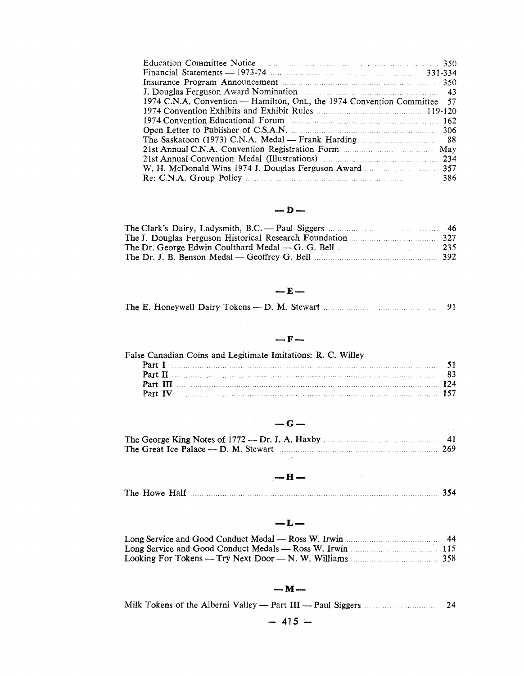| 1974 C.N.A. Convention — Hamilton, Ont., the 1974 Convention Committee 57 |  |
|---------------------------------------------------------------------------|--|
|                                                                           |  |
| 162 1974 Convention Educational Forum                                     |  |
|                                                                           |  |
|                                                                           |  |
|                                                                           |  |
|                                                                           |  |
|                                                                           |  |
|                                                                           |  |

### $-D-$

# **-E-**

|  |  |  |  |  |  |  | The E. Honeywell Dairy Tokens — D. M. Stewart |  |  | 91 |
|--|--|--|--|--|--|--|-----------------------------------------------|--|--|----|
|--|--|--|--|--|--|--|-----------------------------------------------|--|--|----|

### **-F-**

| False Canadian Coins and Legitimate Imitations: R. C. Willey |  |
|--------------------------------------------------------------|--|
|                                                              |  |
|                                                              |  |
| Part III                                                     |  |
| Part IV                                                      |  |

# **-G-**

# **-H-**

 $\label{eq:2.1} \frac{1}{\sqrt{2}}\int_{\mathbb{R}^3}\frac{d\mu}{\sqrt{2}}\left(\frac{d\mu}{\sqrt{2}}\right)^2\frac{d\mu}{\sqrt{2}}\left(\frac{d\mu}{\sqrt{2}}\right)^2\frac{d\mu}{\sqrt{2}}\left(\frac{d\mu}{\sqrt{2}}\right)^2\frac{d\mu}{\sqrt{2}}\left(\frac{d\mu}{\sqrt{2}}\right)^2.$ 

| The Howe Half |  |  |
|---------------|--|--|
|               |  |  |

# **-L-**

# **-M-**

|  |  |  |  |  | 24 |
|--|--|--|--|--|----|
|  |  |  |  |  |    |

# $- 415 -$